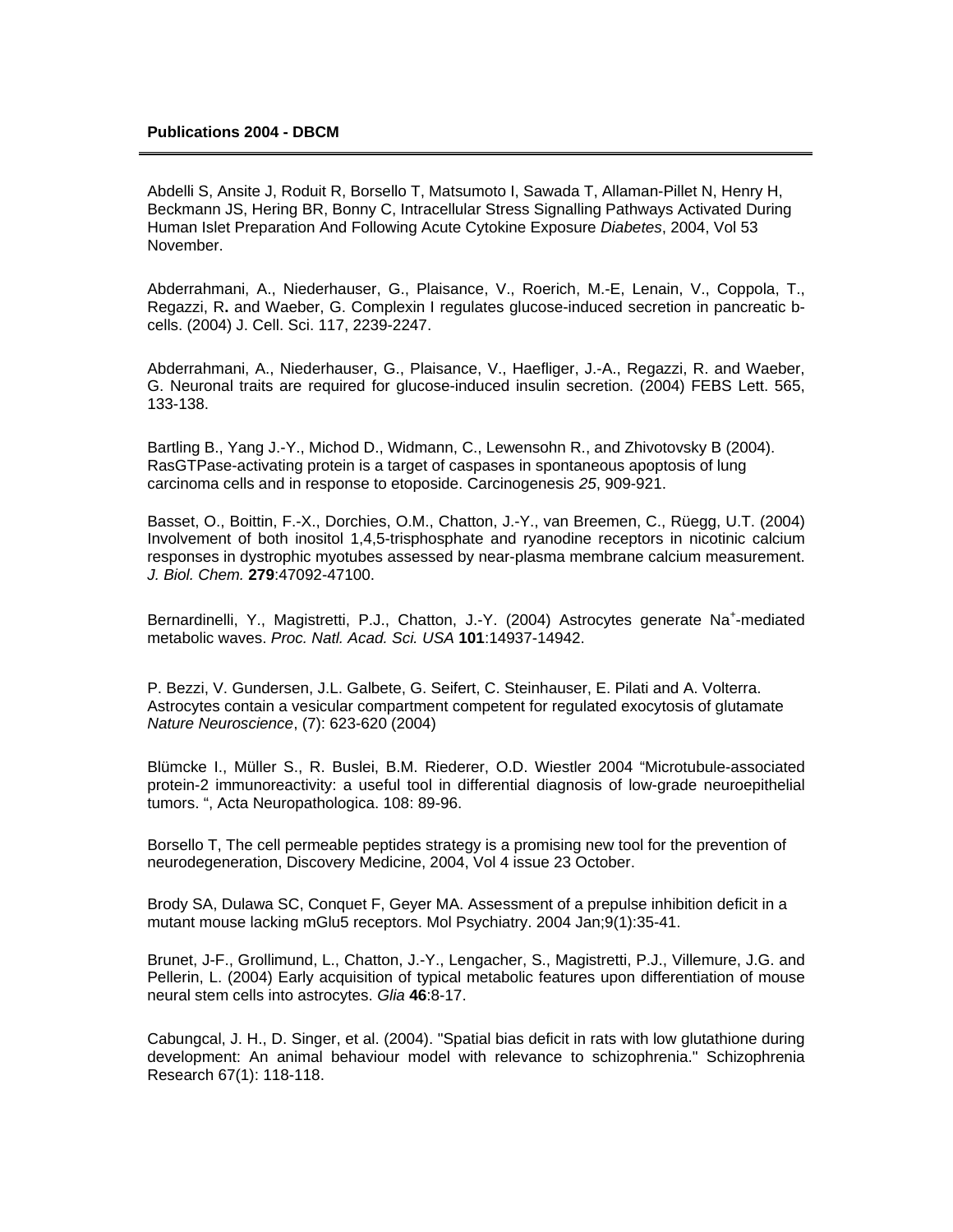Abdelli S, Ansite J, Roduit R, Borsello T, Matsumoto I, Sawada T, Allaman-Pillet N, Henry H, Beckmann JS, Hering BR, Bonny C, Intracellular Stress Signalling Pathways Activated During Human Islet Preparation And Following Acute Cytokine Exposure *Diabetes*, 2004, Vol 53 November.

Abderrahmani, A., Niederhauser, G., Plaisance, V., Roerich, M.-E, Lenain, V., Coppola, T., Regazzi, R**.** and Waeber, G. Complexin I regulates glucose-induced secretion in pancreatic bcells. (2004) J. Cell. Sci. 117, 2239-2247.

Abderrahmani, A., Niederhauser, G., Plaisance, V., Haefliger, J.-A., Regazzi, R. and Waeber, G. Neuronal traits are required for glucose-induced insulin secretion. (2004) FEBS Lett. 565, 133-138.

Bartling B., Yang J.-Y., Michod D., Widmann, C., Lewensohn R., and Zhivotovsky B (2004). RasGTPase-activating protein is a target of caspases in spontaneous apoptosis of lung carcinoma cells and in response to etoposide. Carcinogenesis *25*, 909-921.

Basset, O., Boittin, F.-X., Dorchies, O.M., Chatton, J.-Y., van Breemen, C., Rüegg, U.T. (2004) Involvement of both inositol 1,4,5-trisphosphate and ryanodine receptors in nicotinic calcium responses in dystrophic myotubes assessed by near-plasma membrane calcium measurement. *J. Biol. Chem.* **279**:47092-47100.

Bernardinelli, Y., Magistretti, P.J., Chatton, J.-Y. (2004) Astrocytes generate Na<sup>+</sup>-mediated metabolic waves. *Proc. Natl. Acad. Sci. USA* **101**:14937-14942.

P. Bezzi, V. Gundersen, J.L. Galbete, G. Seifert, C. Steinhauser, E. Pilati and A. Volterra. Astrocytes contain a vesicular compartment competent for regulated exocytosis of glutamate *Nature Neuroscience*, (7): 623-620 (2004)

Blümcke I., Müller S., R. Buslei, B.M. Riederer, O.D. Wiestler 2004 "Microtubule-associated protein-2 immunoreactivity: a useful tool in differential diagnosis of low-grade neuroepithelial tumors. ", Acta Neuropathologica. 108: 89-96.

Borsello T, The cell permeable peptides strategy is a promising new tool for the prevention of neurodegeneration, Discovery Medicine, 2004, Vol 4 issue 23 October.

Brody SA, Dulawa SC, Conquet F, Geyer MA. Assessment of a prepulse inhibition deficit in a mutant mouse lacking mGlu5 receptors. Mol Psychiatry. 2004 Jan;9(1):35-41.

Brunet, J-F., Grollimund, L., Chatton, J.-Y., Lengacher, S., Magistretti, P.J., Villemure, J.G. and Pellerin, L. (2004) Early acquisition of typical metabolic features upon differentiation of mouse neural stem cells into astrocytes. *Glia* **46**:8-17.

Cabungcal, J. H., D. Singer, et al. (2004). "Spatial bias deficit in rats with low glutathione during development: An animal behaviour model with relevance to schizophrenia." Schizophrenia Research 67(1): 118-118.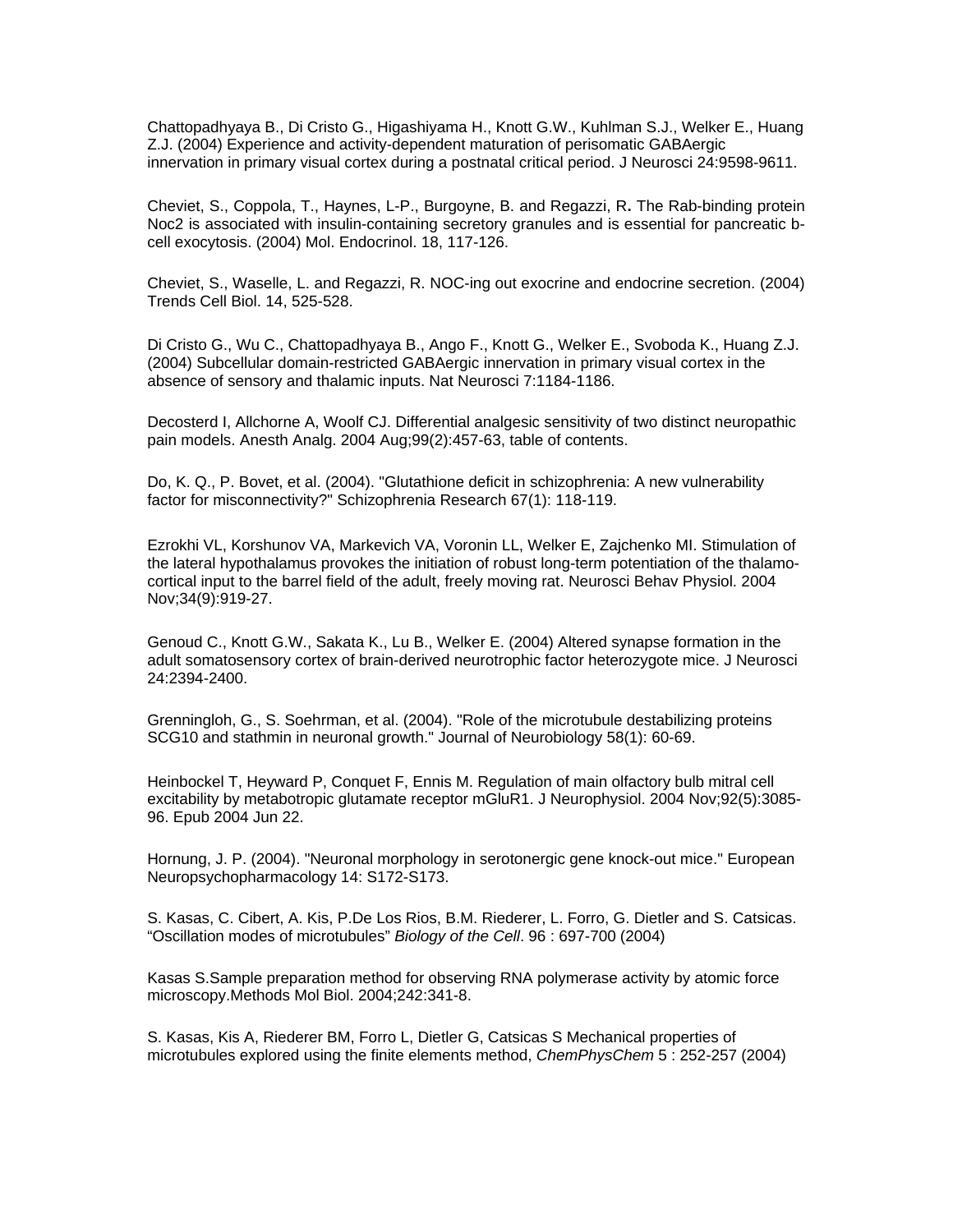Chattopadhyaya B., Di Cristo G., Higashiyama H., Knott G.W., Kuhlman S.J., Welker E., Huang Z.J. (2004) Experience and activity-dependent maturation of perisomatic GABAergic innervation in primary visual cortex during a postnatal critical period. J Neurosci 24:9598-9611.

Cheviet, S., Coppola, T., Haynes, L-P., Burgoyne, B. and Regazzi, R**.** The Rab-binding protein Noc2 is associated with insulin-containing secretory granules and is essential for pancreatic bcell exocytosis. (2004) Mol. Endocrinol. 18, 117-126.

Cheviet, S., Waselle, L. and Regazzi, R. NOC-ing out exocrine and endocrine secretion. (2004) Trends Cell Biol. 14, 525-528.

Di Cristo G., Wu C., Chattopadhyaya B., Ango F., Knott G., Welker E., Svoboda K., Huang Z.J. (2004) Subcellular domain-restricted GABAergic innervation in primary visual cortex in the absence of sensory and thalamic inputs. Nat Neurosci 7:1184-1186.

Decosterd I, Allchorne A, Woolf CJ. Differential analgesic sensitivity of two distinct neuropathic pain models. Anesth Analg. 2004 Aug;99(2):457-63, table of contents.

Do, K. Q., P. Bovet, et al. (2004). "Glutathione deficit in schizophrenia: A new vulnerability factor for misconnectivity?" Schizophrenia Research 67(1): 118-119.

Ezrokhi VL, Korshunov VA, Markevich VA, Voronin LL, Welker E, Zajchenko MI. Stimulation of the lateral hypothalamus provokes the initiation of robust long-term potentiation of the thalamocortical input to the barrel field of the adult, freely moving rat. Neurosci Behav Physiol. 2004 Nov;34(9):919-27.

Genoud C., Knott G.W., Sakata K., Lu B., Welker E. (2004) Altered synapse formation in the adult somatosensory cortex of brain-derived neurotrophic factor heterozygote mice. J Neurosci 24:2394-2400.

Grenningloh, G., S. Soehrman, et al. (2004). "Role of the microtubule destabilizing proteins SCG10 and stathmin in neuronal growth." Journal of Neurobiology 58(1): 60-69.

Heinbockel T, Heyward P, Conquet F, Ennis M. Regulation of main olfactory bulb mitral cell excitability by metabotropic glutamate receptor mGluR1. J Neurophysiol. 2004 Nov;92(5):3085- 96. Epub 2004 Jun 22.

Hornung, J. P. (2004). "Neuronal morphology in serotonergic gene knock-out mice." European Neuropsychopharmacology 14: S172-S173.

S. Kasas, C. Cibert, A. Kis, P.De Los Rios, B.M. Riederer, L. Forro, G. Dietler and S. Catsicas. "Oscillation modes of microtubules" *Biology of the Cell*. 96 : 697-700 (2004)

Kasas S.Sample preparation method for observing RNA polymerase activity by atomic force microscopy.Methods Mol Biol. 2004;242:341-8.

S. Kasas, Kis A, Riederer BM, Forro L, Dietler G, Catsicas S Mechanical properties of microtubules explored using the finite elements method, *ChemPhysChem* 5 : 252-257 (2004)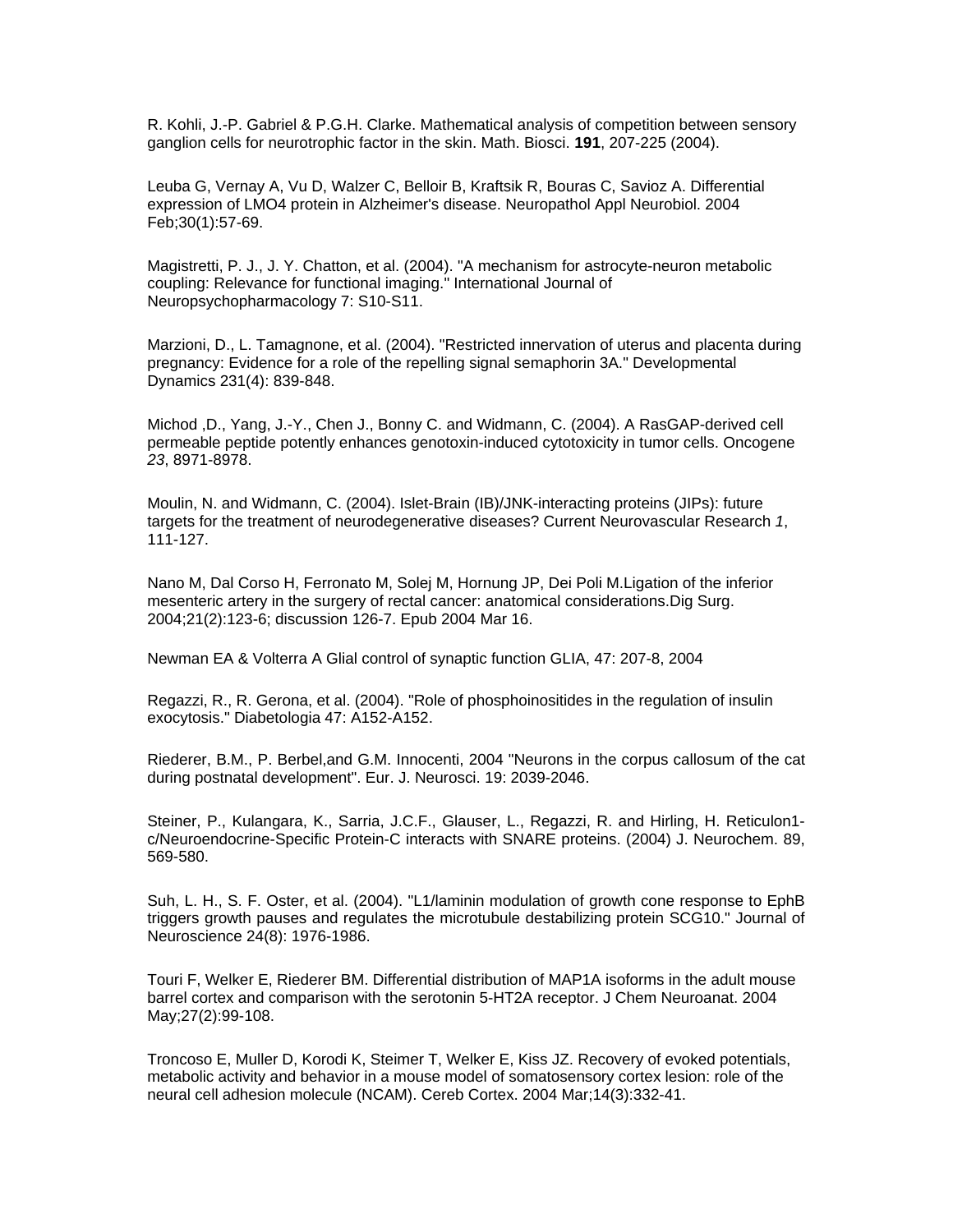R. Kohli, J.-P. Gabriel & P.G.H. Clarke. Mathematical analysis of competition between sensory ganglion cells for neurotrophic factor in the skin. Math. Biosci. **191**, 207-225 (2004).

Leuba G, Vernay A, Vu D, Walzer C, Belloir B, Kraftsik R, Bouras C, Savioz A. Differential expression of LMO4 protein in Alzheimer's disease. Neuropathol Appl Neurobiol. 2004 Feb;30(1):57-69.

Magistretti, P. J., J. Y. Chatton, et al. (2004). "A mechanism for astrocyte-neuron metabolic coupling: Relevance for functional imaging." International Journal of Neuropsychopharmacology 7: S10-S11.

Marzioni, D., L. Tamagnone, et al. (2004). "Restricted innervation of uterus and placenta during pregnancy: Evidence for a role of the repelling signal semaphorin 3A." Developmental Dynamics 231(4): 839-848.

Michod ,D., Yang, J.-Y., Chen J., Bonny C. and Widmann, C. (2004). A RasGAP-derived cell permeable peptide potently enhances genotoxin-induced cytotoxicity in tumor cells. Oncogene *23*, 8971-8978.

Moulin, N. and Widmann, C. (2004). Islet-Brain (IB)/JNK-interacting proteins (JIPs): future targets for the treatment of neurodegenerative diseases? Current Neurovascular Research *1*, 111-127.

Nano M, Dal Corso H, Ferronato M, Solej M, Hornung JP, Dei Poli M.Ligation of the inferior mesenteric artery in the surgery of rectal cancer: anatomical considerations.Dig Surg. 2004;21(2):123-6; discussion 126-7. Epub 2004 Mar 16.

Newman EA & Volterra A Glial control of synaptic function GLIA, 47: 207-8, 2004

Regazzi, R., R. Gerona, et al. (2004). "Role of phosphoinositides in the regulation of insulin exocytosis." Diabetologia 47: A152-A152.

Riederer, B.M., P. Berbel,and G.M. Innocenti, 2004 "Neurons in the corpus callosum of the cat during postnatal development". Eur. J. Neurosci. 19: 2039-2046.

Steiner, P., Kulangara, K., Sarria, J.C.F., Glauser, L., Regazzi, R. and Hirling, H. Reticulon1 c/Neuroendocrine-Specific Protein-C interacts with SNARE proteins. (2004) J. Neurochem. 89, 569-580.

Suh, L. H., S. F. Oster, et al. (2004). "L1/laminin modulation of growth cone response to EphB triggers growth pauses and regulates the microtubule destabilizing protein SCG10." Journal of Neuroscience 24(8): 1976-1986.

Touri F, Welker E, Riederer BM. Differential distribution of MAP1A isoforms in the adult mouse barrel cortex and comparison with the serotonin 5-HT2A receptor. J Chem Neuroanat. 2004 May;27(2):99-108.

Troncoso E, Muller D, Korodi K, Steimer T, Welker E, Kiss JZ. Recovery of evoked potentials, metabolic activity and behavior in a mouse model of somatosensory cortex lesion: role of the neural cell adhesion molecule (NCAM). Cereb Cortex. 2004 Mar;14(3):332-41.